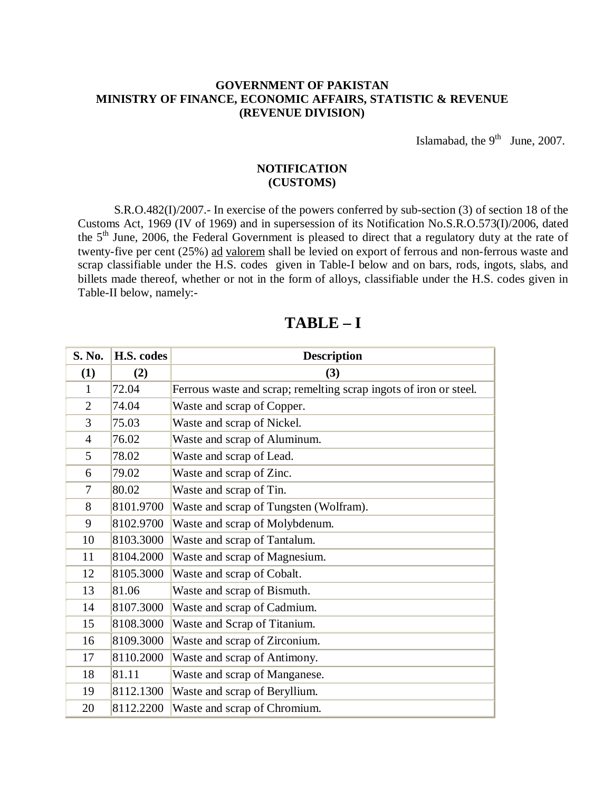#### **GOVERNMENT OF PAKISTAN MINISTRY OF FINANCE, ECONOMIC AFFAIRS, STATISTIC & REVENUE (REVENUE DIVISION)**

Islamabad, the  $9<sup>th</sup>$  June, 2007.

### **NOTIFICATION (CUSTOMS)**

 S.R.O.482(I)/2007.- In exercise of the powers conferred by sub-section (3) of section 18 of the Customs Act, 1969 (IV of 1969) and in supersession of its Notification No.S.R.O.573(I)/2006, dated the 5<sup>th</sup> June, 2006, the Federal Government is pleased to direct that a regulatory duty at the rate of twenty-five per cent (25%) ad valorem shall be levied on export of ferrous and non-ferrous waste and scrap classifiable under the H.S. codes given in Table-I below and on bars, rods, ingots, slabs, and billets made thereof, whether or not in the form of alloys, classifiable under the H.S. codes given in Table-II below, namely:-

| S. No.         | H.S. codes | <b>Description</b>                                                |
|----------------|------------|-------------------------------------------------------------------|
| (1)            | (2)        | (3)                                                               |
| $\mathbf{1}$   | 72.04      | Ferrous waste and scrap; remelting scrap ingots of iron or steel. |
| $\overline{2}$ | 74.04      | Waste and scrap of Copper.                                        |
| 3              | 75.03      | Waste and scrap of Nickel.                                        |
| $\overline{4}$ | 76.02      | Waste and scrap of Aluminum.                                      |
| 5              | 78.02      | Waste and scrap of Lead.                                          |
| 6              | 79.02      | Waste and scrap of Zinc.                                          |
| 7              | 80.02      | Waste and scrap of Tin.                                           |
| 8              | 8101.9700  | Waste and scrap of Tungsten (Wolfram).                            |
| 9              | 8102.9700  | Waste and scrap of Molybdenum.                                    |
| 10             | 8103.3000  | Waste and scrap of Tantalum.                                      |
| 11             | 8104.2000  | Waste and scrap of Magnesium.                                     |
| 12             | 8105.3000  | Waste and scrap of Cobalt.                                        |
| 13             | 81.06      | Waste and scrap of Bismuth.                                       |
| 14             | 8107.3000  | Waste and scrap of Cadmium.                                       |
| 15             | 8108.3000  | Waste and Scrap of Titanium.                                      |
| 16             | 8109.3000  | Waste and scrap of Zirconium.                                     |
| 17             | 8110.2000  | Waste and scrap of Antimony.                                      |
| 18             | 81.11      | Waste and scrap of Manganese.                                     |
| 19             | 8112.1300  | Waste and scrap of Beryllium.                                     |
| 20             | 8112.2200  | Waste and scrap of Chromium.                                      |

## **TABLE – I**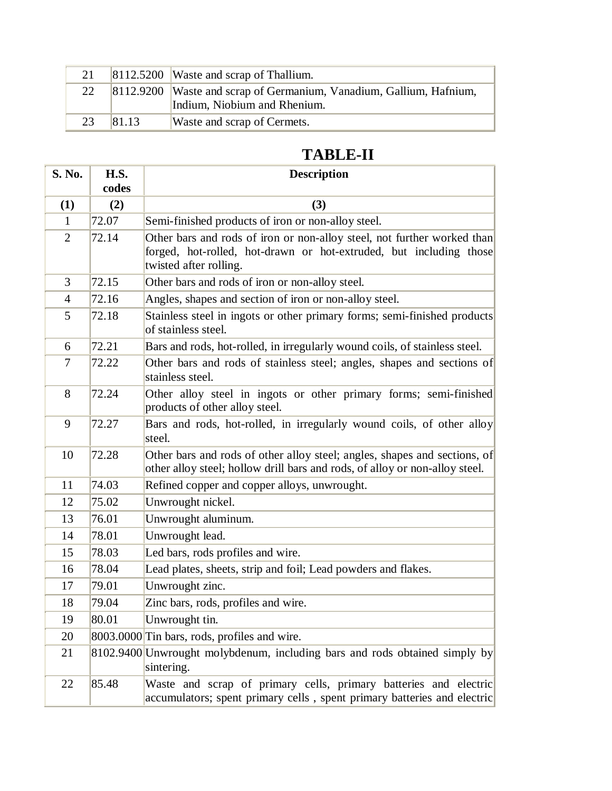|    |       | 8112.5200 Waste and scrap of Thallium.                                 |
|----|-------|------------------------------------------------------------------------|
| 22 |       | [8112.9200   Waste and scrap of Germanium, Vanadium, Gallium, Hafnium, |
|    |       | Indium, Niobium and Rhenium.                                           |
| 23 | 81.13 | Waste and scrap of Cermets.                                            |

# **TABLE-II**

| S. No.         | H.S.<br>codes | <b>Description</b>                                                                                                                                                      |
|----------------|---------------|-------------------------------------------------------------------------------------------------------------------------------------------------------------------------|
| (1)            | (2)           | (3)                                                                                                                                                                     |
| $\mathbf{1}$   | 72.07         | Semi-finished products of iron or non-alloy steel.                                                                                                                      |
| $\overline{2}$ | 72.14         | Other bars and rods of iron or non-alloy steel, not further worked than<br>forged, hot-rolled, hot-drawn or hot-extruded, but including those<br>twisted after rolling. |
| 3              | 72.15         | Other bars and rods of iron or non-alloy steel.                                                                                                                         |
| $\overline{4}$ | 72.16         | Angles, shapes and section of iron or non-alloy steel.                                                                                                                  |
| 5              | 72.18         | Stainless steel in ingots or other primary forms; semi-finished products<br>of stainless steel.                                                                         |
| 6              | 72.21         | Bars and rods, hot-rolled, in irregularly wound coils, of stainless steel.                                                                                              |
| 7              | 72.22         | Other bars and rods of stainless steel; angles, shapes and sections of<br>stainless steel.                                                                              |
| 8              | 72.24         | Other alloy steel in ingots or other primary forms; semi-finished<br>products of other alloy steel.                                                                     |
| 9              | 72.27         | Bars and rods, hot-rolled, in irregularly wound coils, of other alloy<br>steel.                                                                                         |
| 10             | 72.28         | Other bars and rods of other alloy steel; angles, shapes and sections, of<br>other alloy steel; hollow drill bars and rods, of alloy or non-alloy steel.                |
| 11             | 74.03         | Refined copper and copper alloys, unwrought.                                                                                                                            |
| 12             | 75.02         | Unwrought nickel.                                                                                                                                                       |
| 13             | 76.01         | Unwrought aluminum.                                                                                                                                                     |
| 14             | 78.01         | Unwrought lead.                                                                                                                                                         |
| 15             | 78.03         | Led bars, rods profiles and wire.                                                                                                                                       |
| 16             | 78.04         | Lead plates, sheets, strip and foil; Lead powders and flakes.                                                                                                           |
| 17             | 79.01         | Unwrought zinc.                                                                                                                                                         |
| 18             | 79.04         | Zinc bars, rods, profiles and wire.                                                                                                                                     |
| 19             | 80.01         | Unwrought tin.                                                                                                                                                          |
| 20             |               | 8003.0000 Tin bars, rods, profiles and wire.                                                                                                                            |
| 21             |               | 8102.9400 Unwrought molybdenum, including bars and rods obtained simply by<br>sintering.                                                                                |
| 22             | 85.48         | Waste and scrap of primary cells, primary batteries and electric<br>accumulators; spent primary cells, spent primary batteries and electric                             |